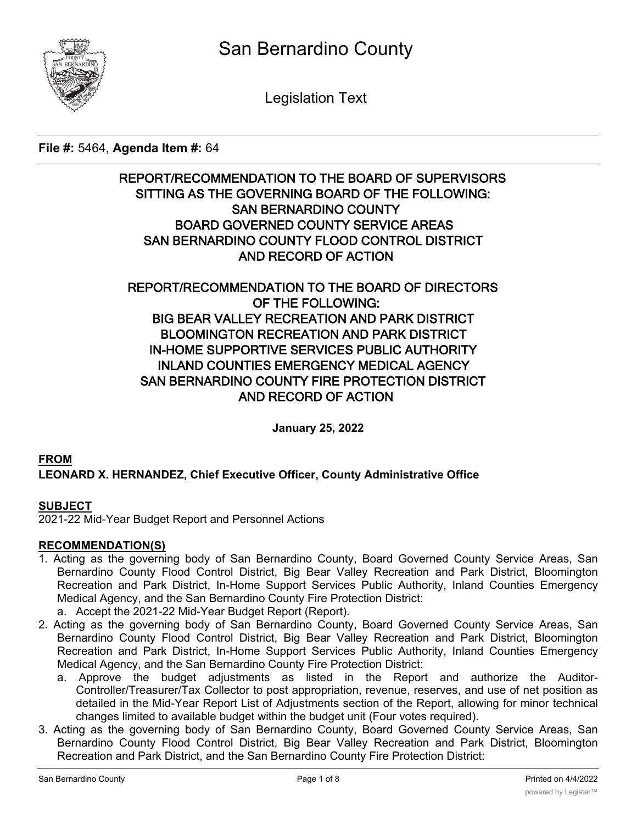

Legislation Text

## **File #:** 5464, **Agenda Item #:** 64

# **REPORT/RECOMMENDATION TO THE BOARD OF SUPERVISORS SITTING AS THE GOVERNING BOARD OF THE FOLLOWING: SAN BERNARDINO COUNTY BOARD GOVERNED COUNTY SERVICE AREAS SAN BERNARDINO COUNTY FLOOD CONTROL DISTRICT AND RECORD OF ACTION**

# **REPORT/RECOMMENDATION TO THE BOARD OF DIRECTORS OF THE FOLLOWING: BIG BEAR VALLEY RECREATION AND PARK DISTRICT BLOOMINGTON RECREATION AND PARK DISTRICT IN-HOME SUPPORTIVE SERVICES PUBLIC AUTHORITY INLAND COUNTIES EMERGENCY MEDICAL AGENCY SAN BERNARDINO COUNTY FIRE PROTECTION DISTRICT AND RECORD OF ACTION**

**January 25, 2022**

# **FROM LEONARD X. HERNANDEZ, Chief Executive Officer, County Administrative Office**

## **SUBJECT**

2021-22 Mid-Year Budget Report and Personnel Actions

## **RECOMMENDATION(S)**

- 1. Acting as the governing body of San Bernardino County, Board Governed County Service Areas, San Bernardino County Flood Control District, Big Bear Valley Recreation and Park District, Bloomington Recreation and Park District, In-Home Support Services Public Authority, Inland Counties Emergency Medical Agency, and the San Bernardino County Fire Protection District:
	- a. Accept the 2021-22 Mid-Year Budget Report (Report).
- 2. Acting as the governing body of San Bernardino County, Board Governed County Service Areas, San Bernardino County Flood Control District, Big Bear Valley Recreation and Park District, Bloomington Recreation and Park District, In-Home Support Services Public Authority, Inland Counties Emergency Medical Agency, and the San Bernardino County Fire Protection District:
	- a. Approve the budget adjustments as listed in the Report and authorize the Auditor-Controller/Treasurer/Tax Collector to post appropriation, revenue, reserves, and use of net position as detailed in the Mid-Year Report List of Adjustments section of the Report, allowing for minor technical changes limited to available budget within the budget unit (Four votes required).
- 3. Acting as the governing body of San Bernardino County, Board Governed County Service Areas, San Bernardino County Flood Control District, Big Bear Valley Recreation and Park District, Bloomington Recreation and Park District, and the San Bernardino County Fire Protection District: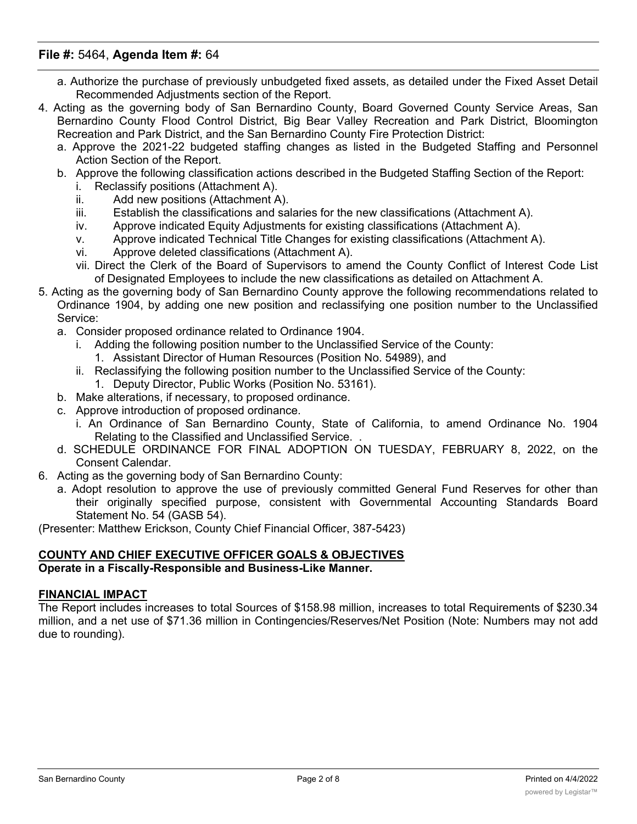- a. Authorize the purchase of previously unbudgeted fixed assets, as detailed under the Fixed Asset Detail Recommended Adjustments section of the Report.
- 4. Acting as the governing body of San Bernardino County, Board Governed County Service Areas, San Bernardino County Flood Control District, Big Bear Valley Recreation and Park District, Bloomington Recreation and Park District, and the San Bernardino County Fire Protection District:
	- a. Approve the 2021-22 budgeted staffing changes as listed in the Budgeted Staffing and Personnel Action Section of the Report.
	- b. Approve the following classification actions described in the Budgeted Staffing Section of the Report:
		- i. Reclassify positions (Attachment A).
		- ii. Add new positions (Attachment A).
		- iii. Establish the classifications and salaries for the new classifications (Attachment A).
		- iv. Approve indicated Equity Adjustments for existing classifications (Attachment A).
		- v. Approve indicated Technical Title Changes for existing classifications (Attachment A).
		- vi. Approve deleted classifications (Attachment A).
		- vii. Direct the Clerk of the Board of Supervisors to amend the County Conflict of Interest Code List of Designated Employees to include the new classifications as detailed on Attachment A.
- 5. Acting as the governing body of San Bernardino County approve the following recommendations related to Ordinance 1904, by adding one new position and reclassifying one position number to the Unclassified Service:
	- a. Consider proposed ordinance related to Ordinance 1904.
		- i. Adding the following position number to the Unclassified Service of the County:
			- 1. Assistant Director of Human Resources (Position No. 54989), and
		- ii. Reclassifying the following position number to the Unclassified Service of the County:
			- 1. Deputy Director, Public Works (Position No. 53161).
	- b. Make alterations, if necessary, to proposed ordinance.
	- c. Approve introduction of proposed ordinance.
		- i. An Ordinance of San Bernardino County, State of California, to amend Ordinance No. 1904 Relating to the Classified and Unclassified Service. .
	- d. SCHEDULE ORDINANCE FOR FINAL ADOPTION ON TUESDAY, FEBRUARY 8, 2022, on the Consent Calendar.
- 6. Acting as the governing body of San Bernardino County:
	- a. Adopt resolution to approve the use of previously committed General Fund Reserves for other than their originally specified purpose, consistent with Governmental Accounting Standards Board Statement No. 54 (GASB 54).

(Presenter: Matthew Erickson, County Chief Financial Officer, 387-5423)

#### **COUNTY AND CHIEF EXECUTIVE OFFICER GOALS & OBJECTIVES Operate in a Fiscally-Responsible and Business-Like Manner.**

#### **FINANCIAL IMPACT**

The Report includes increases to total Sources of \$158.98 million, increases to total Requirements of \$230.34 million, and a net use of \$71.36 million in Contingencies/Reserves/Net Position (Note: Numbers may not add due to rounding).

Reserves / Net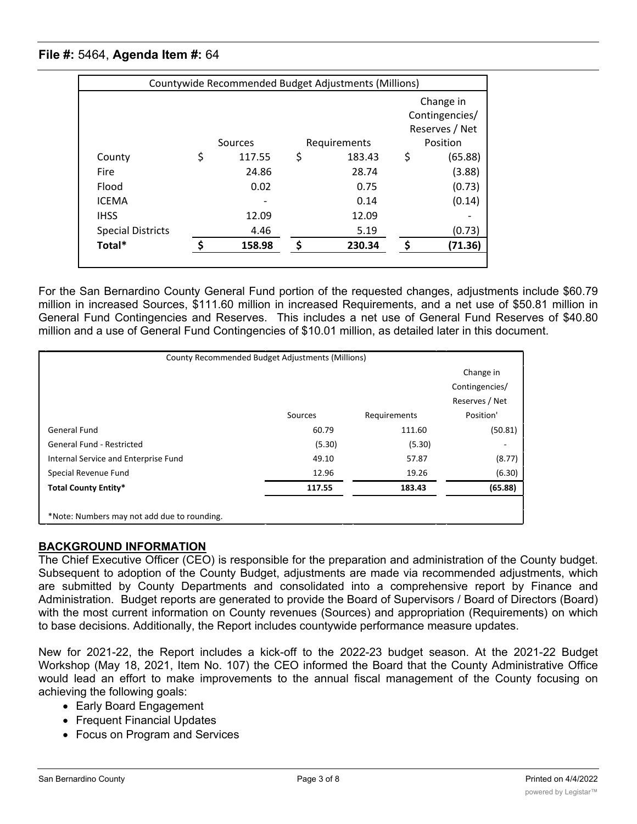| Countywide Recommended Budget Adjustments (Millions) |    |         |              |        |                                  |         |  |  |
|------------------------------------------------------|----|---------|--------------|--------|----------------------------------|---------|--|--|
|                                                      |    |         |              |        | Change in                        |         |  |  |
|                                                      |    |         |              |        | Contingencies/<br>Reserves / Net |         |  |  |
|                                                      |    |         |              |        |                                  |         |  |  |
|                                                      |    | Sources | Requirements |        | Position                         |         |  |  |
| County                                               | \$ | 117.55  | \$           | 183.43 | \$                               | (65.88) |  |  |
| Fire                                                 |    | 24.86   |              | 28.74  |                                  | (3.88)  |  |  |
| Flood                                                |    | 0.02    |              | 0.75   |                                  | (0.73)  |  |  |
| <b>ICEMA</b>                                         |    |         |              | 0.14   |                                  | (0.14)  |  |  |
| <b>IHSS</b>                                          |    | 12.09   |              | 12.09  |                                  |         |  |  |
| <b>Special Districts</b>                             |    | 4.46    |              | 5.19   |                                  | (0.73)  |  |  |
| Total*                                               |    | 158.98  | \$           | 230.34 | Ś                                | (71.36) |  |  |
|                                                      |    |         |              |        |                                  |         |  |  |

For the San Bernardino County General Fund portion of the requested changes, adjustments include \$60.79 million in increased Sources, \$111.60 million in increased Requirements, and a net use of \$50.81 million in General Fund Contingencies and Reserves. This includes a net use of General Fund Reserves of \$40.80 million and a use of General Fund Contingencies of \$10.01 million, as detailed later in this document.

| <b>County Recommended Budget Adjustments (Millions)</b> |         |              |                |  |  |  |  |  |  |
|---------------------------------------------------------|---------|--------------|----------------|--|--|--|--|--|--|
|                                                         |         |              | Change in      |  |  |  |  |  |  |
|                                                         |         |              | Contingencies/ |  |  |  |  |  |  |
|                                                         |         |              | Reserves / Net |  |  |  |  |  |  |
|                                                         | Sources | Requirements | Position'      |  |  |  |  |  |  |
| General Fund                                            | 60.79   | 111.60       | (50.81)        |  |  |  |  |  |  |
| <b>General Fund - Restricted</b>                        | (5.30)  | (5.30)       |                |  |  |  |  |  |  |
| Internal Service and Enterprise Fund                    | 49.10   | 57.87        | (8.77)         |  |  |  |  |  |  |
| Special Revenue Fund                                    | 12.96   | 19.26        | (6.30)         |  |  |  |  |  |  |
| <b>Total County Entity*</b>                             | 117.55  | 183.43       | (65.88)        |  |  |  |  |  |  |
|                                                         |         |              |                |  |  |  |  |  |  |
| *Note: Numbers may not add due to rounding.             |         |              |                |  |  |  |  |  |  |

## **BACKGROUND INFORMATION**

The Chief Executive Officer (CEO) is responsible for the preparation and administration of the County budget. Subsequent to adoption of the County Budget, adjustments are made via recommended adjustments, which are submitted by County Departments and consolidated into a comprehensive report by Finance and Administration. Budget reports are generated to provide the Board of Supervisors / Board of Directors (Board) with the most current information on County revenues (Sources) and appropriation (Requirements) on which to base decisions. Additionally, the Report includes countywide performance measure updates.

New for 2021-22, the Report includes a kick-off to the 2022-23 budget season. At the 2021-22 Budget Workshop (May 18, 2021, Item No. 107) the CEO informed the Board that the County Administrative Office would lead an effort to make improvements to the annual fiscal management of the County focusing on achieving the following goals:

- Early Board Engagement
- · Frequent Financial Updates
- · Focus on Program and Services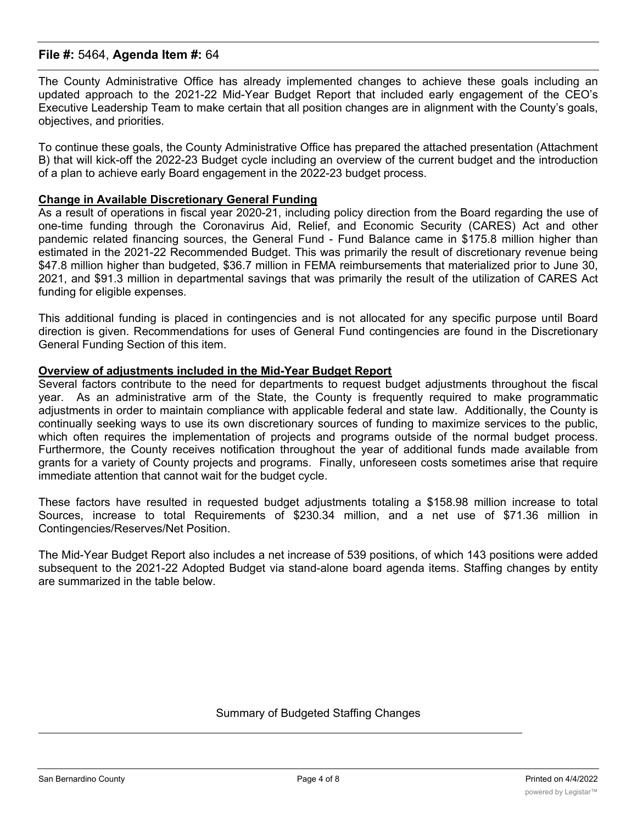The County Administrative Office has already implemented changes to achieve these goals including an updated approach to the 2021-22 Mid-Year Budget Report that included early engagement of the CEO's Executive Leadership Team to make certain that all position changes are in alignment with the County's goals, objectives, and priorities.

To continue these goals, the County Administrative Office has prepared the attached presentation (Attachment B) that will kick-off the 2022-23 Budget cycle including an overview of the current budget and the introduction of a plan to achieve early Board engagement in the 2022-23 budget process.

#### **Change in Available Discretionary General Funding**

As a result of operations in fiscal year 2020-21, including policy direction from the Board regarding the use of one-time funding through the Coronavirus Aid, Relief, and Economic Security (CARES) Act and other pandemic related financing sources, the General Fund - Fund Balance came in \$175.8 million higher than estimated in the 2021-22 Recommended Budget. This was primarily the result of discretionary revenue being \$47.8 million higher than budgeted, \$36.7 million in FEMA reimbursements that materialized prior to June 30, 2021, and \$91.3 million in departmental savings that was primarily the result of the utilization of CARES Act funding for eligible expenses.

This additional funding is placed in contingencies and is not allocated for any specific purpose until Board direction is given. Recommendations for uses of General Fund contingencies are found in the Discretionary General Funding Section of this item.

#### **Overview of adjustments included in the Mid-Year Budget Report**

Several factors contribute to the need for departments to request budget adjustments throughout the fiscal year. As an administrative arm of the State, the County is frequently required to make programmatic adjustments in order to maintain compliance with applicable federal and state law. Additionally, the County is continually seeking ways to use its own discretionary sources of funding to maximize services to the public, which often requires the implementation of projects and programs outside of the normal budget process. Furthermore, the County receives notification throughout the year of additional funds made available from grants for a variety of County projects and programs. Finally, unforeseen costs sometimes arise that require immediate attention that cannot wait for the budget cycle.

These factors have resulted in requested budget adjustments totaling a \$158.98 million increase to total Sources, increase to total Requirements of \$230.34 million, and a net use of \$71.36 million in Contingencies/Reserves/Net Position.

The Mid-Year Budget Report also includes a net increase of 539 positions, of which 143 positions were added subsequent to the 2021-22 Adopted Budget via stand-alone board agenda items. Staffing changes by entity are summarized in the table below.

#### Summary of Budgeted Staffing Changes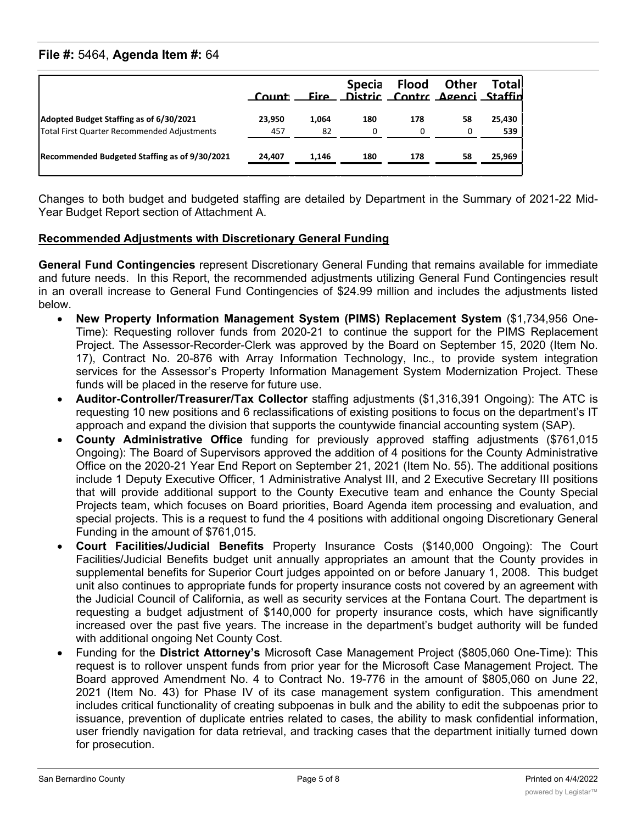|                                                                                        | Count <sup>,</sup> |             | <b>Specia</b><br>Fire Distric Contrc Agenci Staffin | Flood    | <b>Other</b> | Totall        |
|----------------------------------------------------------------------------------------|--------------------|-------------|-----------------------------------------------------|----------|--------------|---------------|
| Adopted Budget Staffing as of 6/30/2021<br>Total First Quarter Recommended Adjustments | 23.950<br>457      | 1,064<br>82 | 180<br>0                                            | 178<br>0 | 58<br>0      | 25,430<br>539 |
| Recommended Budgeted Staffing as of 9/30/2021                                          | 24,407             | 1,146       | 180                                                 | 178      | 58           | 25,969        |

Changes to both budget and budgeted staffing are detailed by Department in the Summary of 2021-22 Mid-Year Budget Report section of Attachment A.

## **Recommended Adjustments with Discretionary General Funding**

**General Fund Contingencies** represent Discretionary General Funding that remains available for immediate and future needs. In this Report, the recommended adjustments utilizing General Fund Contingencies result in an overall increase to General Fund Contingencies of \$24.99 million and includes the adjustments listed below.

- · **New Property Information Management System (PIMS) Replacement System** (\$1,734,956 One-Time): Requesting rollover funds from 2020-21 to continue the support for the PIMS Replacement Project. The Assessor-Recorder-Clerk was approved by the Board on September 15, 2020 (Item No. 17), Contract No. 20-876 with Array Information Technology, Inc., to provide system integration services for the Assessor's Property Information Management System Modernization Project. These funds will be placed in the reserve for future use.
- · **Auditor-Controller/Treasurer/Tax Collector** staffing adjustments (\$1,316,391 Ongoing): The ATC is requesting 10 new positions and 6 reclassifications of existing positions to focus on the department's IT approach and expand the division that supports the countywide financial accounting system (SAP).
- · **County Administrative Office** funding for previously approved staffing adjustments (\$761,015 Ongoing): The Board of Supervisors approved the addition of 4 positions for the County Administrative Office on the 2020-21 Year End Report on September 21, 2021 (Item No. 55). The additional positions include 1 Deputy Executive Officer, 1 Administrative Analyst III, and 2 Executive Secretary III positions that will provide additional support to the County Executive team and enhance the County Special Projects team, which focuses on Board priorities, Board Agenda item processing and evaluation, and special projects. This is a request to fund the 4 positions with additional ongoing Discretionary General Funding in the amount of \$761,015.
- · **Court Facilities/Judicial Benefits** Property Insurance Costs (\$140,000 Ongoing): The Court Facilities/Judicial Benefits budget unit annually appropriates an amount that the County provides in supplemental benefits for Superior Court judges appointed on or before January 1, 2008. This budget unit also continues to appropriate funds for property insurance costs not covered by an agreement with the Judicial Council of California, as well as security services at the Fontana Court. The department is requesting a budget adjustment of \$140,000 for property insurance costs, which have significantly increased over the past five years. The increase in the department's budget authority will be funded with additional ongoing Net County Cost.
- · Funding for the **District Attorney's** Microsoft Case Management Project (\$805,060 One-Time): This request is to rollover unspent funds from prior year for the Microsoft Case Management Project. The Board approved Amendment No. 4 to Contract No. 19-776 in the amount of \$805,060 on June 22, 2021 (Item No. 43) for Phase IV of its case management system configuration. This amendment includes critical functionality of creating subpoenas in bulk and the ability to edit the subpoenas prior to issuance, prevention of duplicate entries related to cases, the ability to mask confidential information, user friendly navigation for data retrieval, and tracking cases that the department initially turned down for prosecution.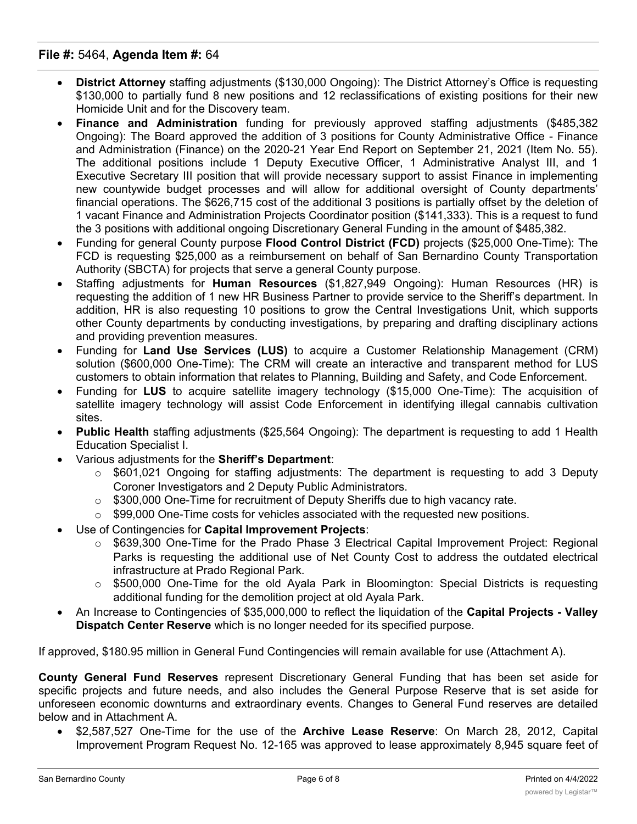- · **District Attorney** staffing adjustments (\$130,000 Ongoing): The District Attorney's Office is requesting \$130,000 to partially fund 8 new positions and 12 reclassifications of existing positions for their new Homicide Unit and for the Discovery team.
- · **Finance and Administration** funding for previously approved staffing adjustments (\$485,382 Ongoing): The Board approved the addition of 3 positions for County Administrative Office - Finance and Administration (Finance) on the 2020-21 Year End Report on September 21, 2021 (Item No. 55). The additional positions include 1 Deputy Executive Officer, 1 Administrative Analyst III, and 1 Executive Secretary III position that will provide necessary support to assist Finance in implementing new countywide budget processes and will allow for additional oversight of County departments' financial operations. The \$626,715 cost of the additional 3 positions is partially offset by the deletion of 1 vacant Finance and Administration Projects Coordinator position (\$141,333). This is a request to fund the 3 positions with additional ongoing Discretionary General Funding in the amount of \$485,382.
- · Funding for general County purpose **Flood Control District (FCD)** projects (\$25,000 One-Time): The FCD is requesting \$25,000 as a reimbursement on behalf of San Bernardino County Transportation Authority (SBCTA) for projects that serve a general County purpose.
- · Staffing adjustments for **Human Resources** (\$1,827,949 Ongoing): Human Resources (HR) is requesting the addition of 1 new HR Business Partner to provide service to the Sheriff's department. In addition, HR is also requesting 10 positions to grow the Central Investigations Unit, which supports other County departments by conducting investigations, by preparing and drafting disciplinary actions and providing prevention measures.
- · Funding for **Land Use Services (LUS)** to acquire a Customer Relationship Management (CRM) solution (\$600,000 One-Time): The CRM will create an interactive and transparent method for LUS customers to obtain information that relates to Planning, Building and Safety, and Code Enforcement.
- · Funding for **LUS** to acquire satellite imagery technology (\$15,000 One-Time): The acquisition of satellite imagery technology will assist Code Enforcement in identifying illegal cannabis cultivation sites.
- · **Public Health** staffing adjustments (\$25,564 Ongoing): The department is requesting to add 1 Health Education Specialist I.
- · Various adjustments for the **Sheriff's Department**:
	- o \$601,021 Ongoing for staffing adjustments: The department is requesting to add 3 Deputy Coroner Investigators and 2 Deputy Public Administrators.
	- $\circ$  \$300,000 One-Time for recruitment of Deputy Sheriffs due to high vacancy rate.
	- $\circ$  \$99,000 One-Time costs for vehicles associated with the requested new positions.
- · Use of Contingencies for **Capital Improvement Projects**:
	- $\circ$  \$639,300 One-Time for the Prado Phase 3 Electrical Capital Improvement Project: Regional Parks is requesting the additional use of Net County Cost to address the outdated electrical infrastructure at Prado Regional Park.
	- o \$500,000 One-Time for the old Ayala Park in Bloomington: Special Districts is requesting additional funding for the demolition project at old Ayala Park.
- · An Increase to Contingencies of \$35,000,000 to reflect the liquidation of the **Capital Projects - Valley Dispatch Center Reserve** which is no longer needed for its specified purpose.

If approved, \$180.95 million in General Fund Contingencies will remain available for use (Attachment A).

**County General Fund Reserves** represent Discretionary General Funding that has been set aside for specific projects and future needs, and also includes the General Purpose Reserve that is set aside for unforeseen economic downturns and extraordinary events. Changes to General Fund reserves are detailed below and in Attachment A.

· \$2,587,527 One-Time for the use of the **Archive Lease Reserve**: On March 28, 2012, Capital Improvement Program Request No. 12-165 was approved to lease approximately 8,945 square feet of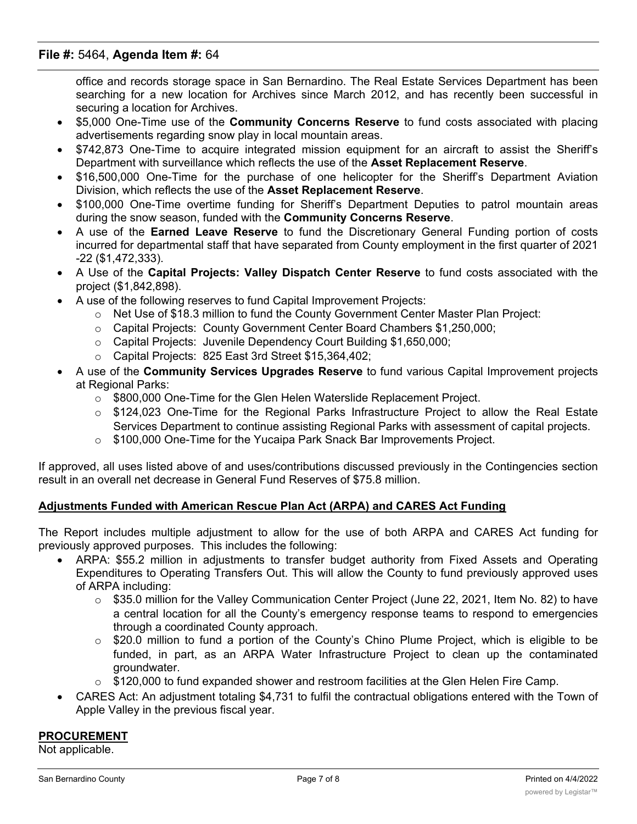office and records storage space in San Bernardino. The Real Estate Services Department has been searching for a new location for Archives since March 2012, and has recently been successful in securing a location for Archives.

- · \$5,000 One-Time use of the **Community Concerns Reserve** to fund costs associated with placing advertisements regarding snow play in local mountain areas.
- · \$742,873 One-Time to acquire integrated mission equipment for an aircraft to assist the Sheriff's Department with surveillance which reflects the use of the **Asset Replacement Reserve**.
- · \$16,500,000 One-Time for the purchase of one helicopter for the Sheriff's Department Aviation Division, which reflects the use of the **Asset Replacement Reserve**.
- · \$100,000 One-Time overtime funding for Sheriff's Department Deputies to patrol mountain areas during the snow season, funded with the **Community Concerns Reserve**.
- · A use of the **Earned Leave Reserve** to fund the Discretionary General Funding portion of costs incurred for departmental staff that have separated from County employment in the first quarter of 2021 -22 (\$1,472,333).
- · A Use of the **Capital Projects: Valley Dispatch Center Reserve** to fund costs associated with the project (\$1,842,898).
- · A use of the following reserves to fund Capital Improvement Projects:
	- $\circ$  Net Use of \$18.3 million to fund the County Government Center Master Plan Project:
	- o Capital Projects: County Government Center Board Chambers \$1,250,000;
	- o Capital Projects: Juvenile Dependency Court Building \$1,650,000;
	- o Capital Projects: 825 East 3rd Street \$15,364,402;
- · A use of the **Community Services Upgrades Reserve** to fund various Capital Improvement projects at Regional Parks:
	- $\circ$  \$800,000 One-Time for the Glen Helen Waterslide Replacement Project.
	- o \$124,023 One-Time for the Regional Parks Infrastructure Project to allow the Real Estate Services Department to continue assisting Regional Parks with assessment of capital projects.
	- $\circ$  \$100,000 One-Time for the Yucaipa Park Snack Bar Improvements Project.

If approved, all uses listed above of and uses/contributions discussed previously in the Contingencies section result in an overall net decrease in General Fund Reserves of \$75.8 million.

## **Adjustments Funded with American Rescue Plan Act (ARPA) and CARES Act Funding**

The Report includes multiple adjustment to allow for the use of both ARPA and CARES Act funding for previously approved purposes. This includes the following:

- ARPA: \$55.2 million in adjustments to transfer budget authority from Fixed Assets and Operating Expenditures to Operating Transfers Out. This will allow the County to fund previously approved uses of ARPA including:
	- o \$35.0 million for the Valley Communication Center Project (June 22, 2021, Item No. 82) to have a central location for all the County's emergency response teams to respond to emergencies through a coordinated County approach.
	- $\circ$  \$20.0 million to fund a portion of the County's Chino Plume Project, which is eligible to be funded, in part, as an ARPA Water Infrastructure Project to clean up the contaminated groundwater.
	- $\circ$  \$120,000 to fund expanded shower and restroom facilities at the Glen Helen Fire Camp.
- · CARES Act: An adjustment totaling \$4,731 to fulfil the contractual obligations entered with the Town of Apple Valley in the previous fiscal year.

#### **PROCUREMENT**

Not applicable.